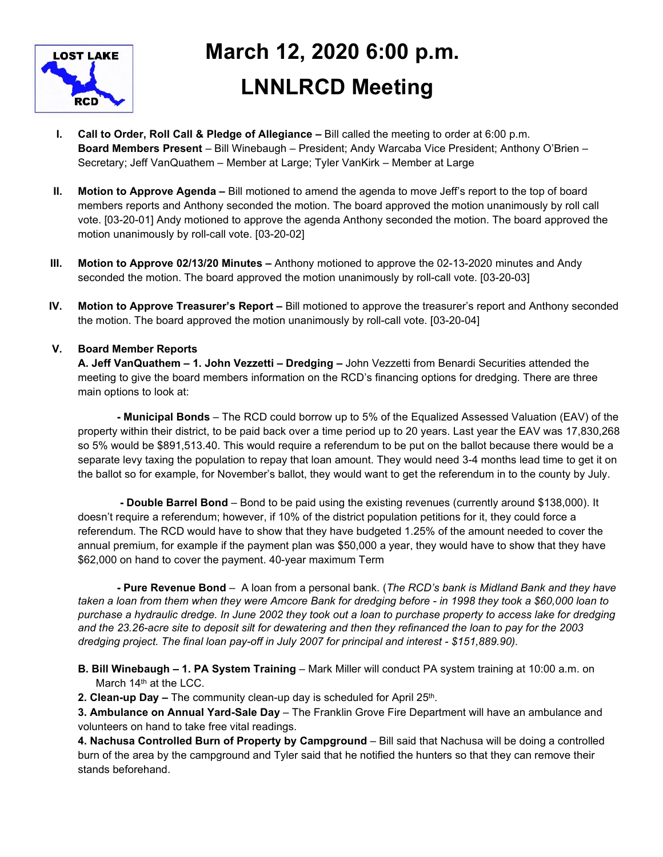

# **March 12, 2020 6:00 p.m. LNNLRCD Meeting**

- **I. Call to Order, Roll Call & Pledge of Allegiance** Bill called the meeting to order at 6:00 p.m. **Board Members Present** – Bill Winebaugh – President; Andy Warcaba Vice President; Anthony O'Brien – Secretary; Jeff VanQuathem – Member at Large; Tyler VanKirk – Member at Large
- **II. Motion to Approve Agenda** Bill motioned to amend the agenda to move Jeff's report to the top of board members reports and Anthony seconded the motion. The board approved the motion unanimously by roll call vote. [03-20-01] Andy motioned to approve the agenda Anthony seconded the motion. The board approved the motion unanimously by roll-call vote. [03-20-02]
- **III. Motion to Approve 02/13/20 Minutes** Anthony motioned to approve the 02-13-2020 minutes and Andy seconded the motion. The board approved the motion unanimously by roll-call vote. [03-20-03]
- **IV. Motion to Approve Treasurer's Report** Bill motioned to approve the treasurer's report and Anthony seconded the motion. The board approved the motion unanimously by roll-call vote. [03-20-04]

# **V. Board Member Reports**

**A. Jeff VanQuathem – 1. John Vezzetti – Dredging –** John Vezzetti from Benardi Securities attended the meeting to give the board members information on the RCD's financing options for dredging. There are three main options to look at:

**- Municipal Bonds** – The RCD could borrow up to 5% of the Equalized Assessed Valuation (EAV) of the property within their district, to be paid back over a time period up to 20 years. Last year the EAV was 17,830,268 so 5% would be \$891,513.40. This would require a referendum to be put on the ballot because there would be a separate levy taxing the population to repay that loan amount. They would need 3-4 months lead time to get it on the ballot so for example, for November's ballot, they would want to get the referendum in to the county by July.

 **- Double Barrel Bond** – Bond to be paid using the existing revenues (currently around \$138,000). It doesn't require a referendum; however, if 10% of the district population petitions for it, they could force a referendum. The RCD would have to show that they have budgeted 1.25% of the amount needed to cover the annual premium, for example if the payment plan was \$50,000 a year, they would have to show that they have \$62,000 on hand to cover the payment. 40-year maximum Term

**- Pure Revenue Bond** – A loan from a personal bank. (*The RCD's bank is Midland Bank and they have taken a loan from them when they were Amcore Bank for dredging before - in 1998 they took a \$60,000 loan to purchase a hydraulic dredge. In June 2002 they took out a loan to purchase property to access lake for dredging and the 23.26-acre site to deposit silt for dewatering and then they refinanced the loan to pay for the 2003 dredging project. The final loan pay-off in July 2007 for principal and interest - \$151,889.90).* 

- **B. Bill Winebaugh 1. PA System Training** Mark Miller will conduct PA system training at 10:00 a.m. on March 14<sup>th</sup> at the LCC.
- **2. Clean-up Day –** The community clean-up day is scheduled for April 25<sup>th</sup>.

**3. Ambulance on Annual Yard-Sale Day** – The Franklin Grove Fire Department will have an ambulance and volunteers on hand to take free vital readings.

**4. Nachusa Controlled Burn of Property by Campground** – Bill said that Nachusa will be doing a controlled burn of the area by the campground and Tyler said that he notified the hunters so that they can remove their stands beforehand.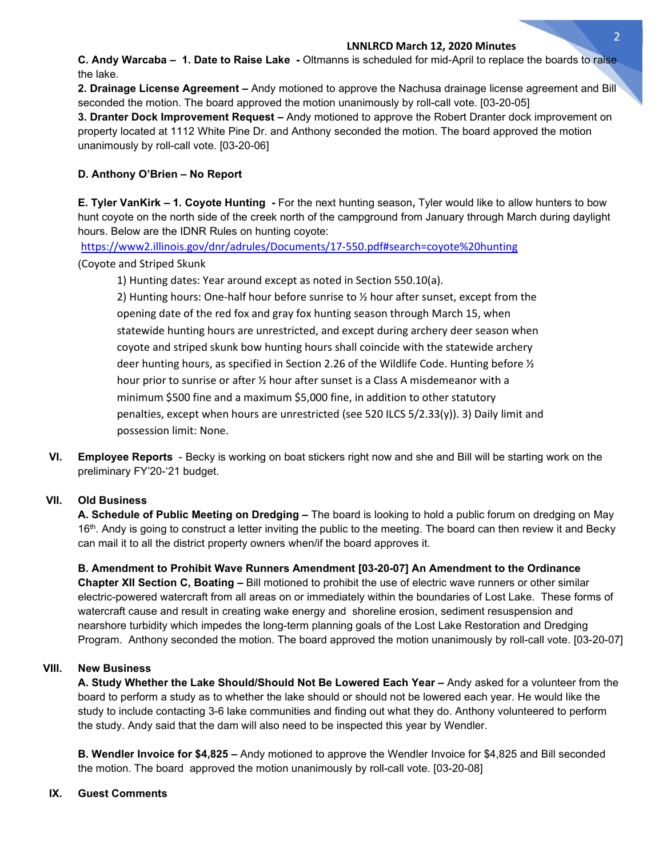#### **LNNLRCD March 12, 2020 Minutes**

**C. Andy Warcaba – 1. Date to Raise Lake -** Oltmanns is scheduled for mid-April to replace the boards to raise the lake.

**2. Drainage License Agreement –** Andy motioned to approve the Nachusa drainage license agreement and Bill seconded the motion. The board approved the motion unanimously by roll-call vote. [03-20-05]

**3. Dranter Dock Improvement Request –** Andy motioned to approve the Robert Dranter dock improvement on property located at 1112 White Pine Dr. and Anthony seconded the motion. The board approved the motion unanimously by roll-call vote. [03-20-06]

### **D. Anthony O'Brien – No Report**

**E. Tyler VanKirk – 1. Coyote Hunting -** For the next hunting season**,** Tyler would like to allow hunters to bow hunt coyote on the north side of the creek north of the campground from January through March during daylight hours. Below are the IDNR Rules on hunting coyote:

https://www2.illinois.gov/dnr/adrules/Documents/17-550.pdf#search=coyote%20hunting (Coyote and Striped Skunk

1) Hunting dates: Year around except as noted in Section 550.10(a).

2) Hunting hours: One-half hour before sunrise to ½ hour after sunset, except from the opening date of the red fox and gray fox hunting season through March 15, when statewide hunting hours are unrestricted, and except during archery deer season when coyote and striped skunk bow hunting hours shall coincide with the statewide archery deer hunting hours, as specified in Section 2.26 of the Wildlife Code. Hunting before  $\frac{1}{2}$ hour prior to sunrise or after 1/2 hour after sunset is a Class A misdemeanor with a minimum \$500 fine and a maximum \$5,000 fine, in addition to other statutory penalties, except when hours are unrestricted (see 520 ILCS 5/2.33(y)). 3) Daily limit and possession limit: None.

**VI. Employee Reports** - Becky is working on boat stickers right now and she and Bill will be starting work on the preliminary FY'20-'21 budget.

### **VII. Old Business**

**A. Schedule of Public Meeting on Dredging –** The board is looking to hold a public forum on dredging on May 16<sup>th</sup>. Andy is going to construct a letter inviting the public to the meeting. The board can then review it and Becky can mail it to all the district property owners when/if the board approves it.

**B. Amendment to Prohibit Wave Runners Amendment [03-20-07] An Amendment to the Ordinance Chapter XII Section C, Boating –** Bill motioned to prohibit the use of electric wave runners or other similar electric-powered watercraft from all areas on or immediately within the boundaries of Lost Lake. These forms of watercraft cause and result in creating wake energy and shoreline erosion, sediment resuspension and nearshore turbidity which impedes the long-term planning goals of the Lost Lake Restoration and Dredging Program. Anthony seconded the motion. The board approved the motion unanimously by roll-call vote. [03-20-07]

## **VIII. New Business**

**A. Study Whether the Lake Should/Should Not Be Lowered Each Year –** Andy asked for a volunteer from the board to perform a study as to whether the lake should or should not be lowered each year. He would like the study to include contacting 3-6 lake communities and finding out what they do. Anthony volunteered to perform the study. Andy said that the dam will also need to be inspected this year by Wendler.

**B. Wendler Invoice for \$4,825 –** Andy motioned to approve the Wendler Invoice for \$4,825 and Bill seconded the motion. The board approved the motion unanimously by roll-call vote. [03-20-08]

### **IX. Guest Comments**